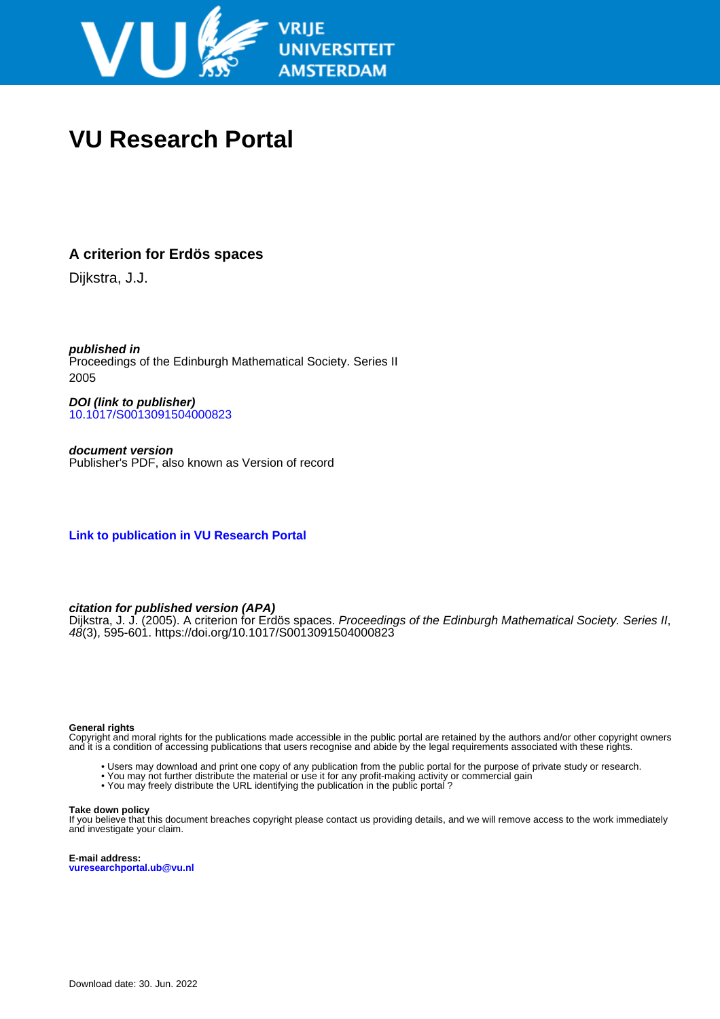

# **VU Research Portal**

## **A criterion for Erdös spaces**

Dijkstra, J.J.

**published in** Proceedings of the Edinburgh Mathematical Society. Series II 2005

**DOI (link to publisher)** [10.1017/S0013091504000823](https://doi.org/10.1017/S0013091504000823)

**document version** Publisher's PDF, also known as Version of record

**[Link to publication in VU Research Portal](https://research.vu.nl/en/publications/2160e485-1f33-42f2-84d4-0a49ef6080f9)**

### **citation for published version (APA)**

Dijkstra, J. J. (2005). A criterion for Erdös spaces. Proceedings of the Edinburgh Mathematical Society. Series II, 48(3), 595-601.<https://doi.org/10.1017/S0013091504000823>

### **General rights**

Copyright and moral rights for the publications made accessible in the public portal are retained by the authors and/or other copyright owners and it is a condition of accessing publications that users recognise and abide by the legal requirements associated with these rights.

- Users may download and print one copy of any publication from the public portal for the purpose of private study or research.
- You may not further distribute the material or use it for any profit-making activity or commercial gain
- You may freely distribute the URL identifying the publication in the public portal ?

### **Take down policy**

If you believe that this document breaches copyright please contact us providing details, and we will remove access to the work immediately and investigate your claim.

**E-mail address: vuresearchportal.ub@vu.nl**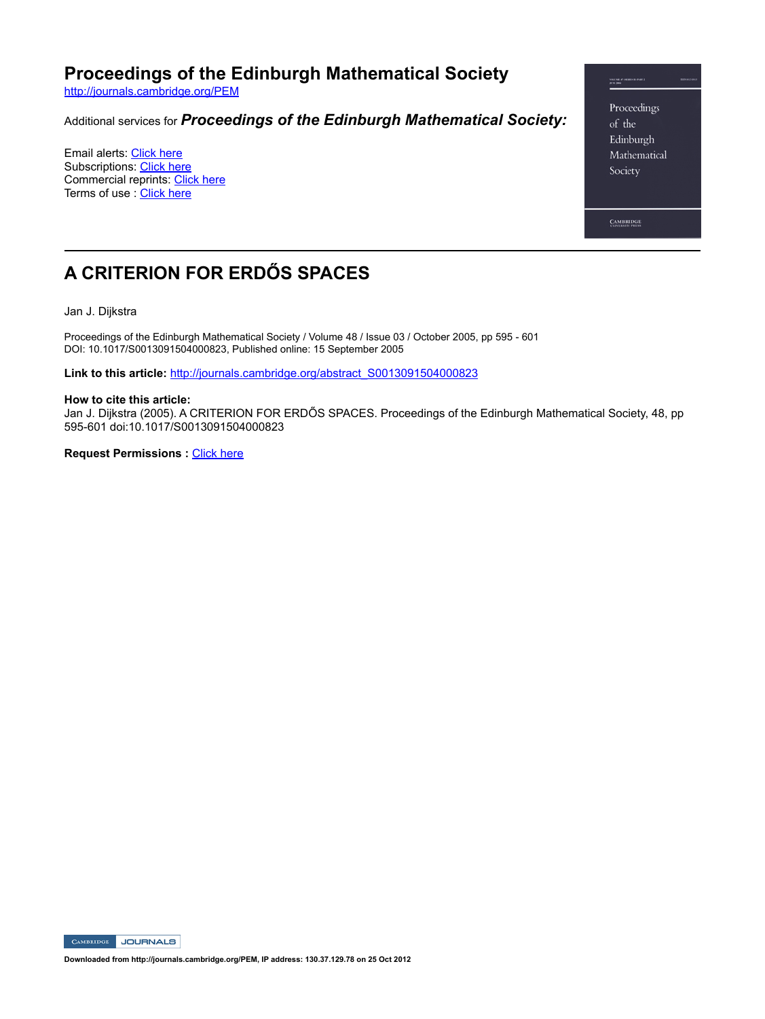**Proceedings of the Edinburgh Mathematical Society**

http://journals.cambridge.org/PEM

### Additional services for *Proceedings of the Edinburgh Mathematical Society:*

Email alerts: Click here Subscriptions: Click here Commercial reprints: Click here Terms of use : Click here

Proceedings of the Edinburgh Mathematical Society

**CAMBRIDGE** 

## **A CRITERION FOR ERDŐS SPACES**

Jan J. Dijkstra

Proceedings of the Edinburgh Mathematical Society / Volume 48 / Issue 03 / October 2005, pp 595 - 601 DOI: 10.1017/S0013091504000823, Published online: 15 September 2005

**Link to this article:** http://journals.cambridge.org/abstract\_S0013091504000823

#### **How to cite this article:**

Jan J. Dijkstra (2005). A CRITERION FOR ERDŐS SPACES. Proceedings of the Edinburgh Mathematical Society, 48, pp 595601 doi:10.1017/S0013091504000823

**Request Permissions : Click here** 

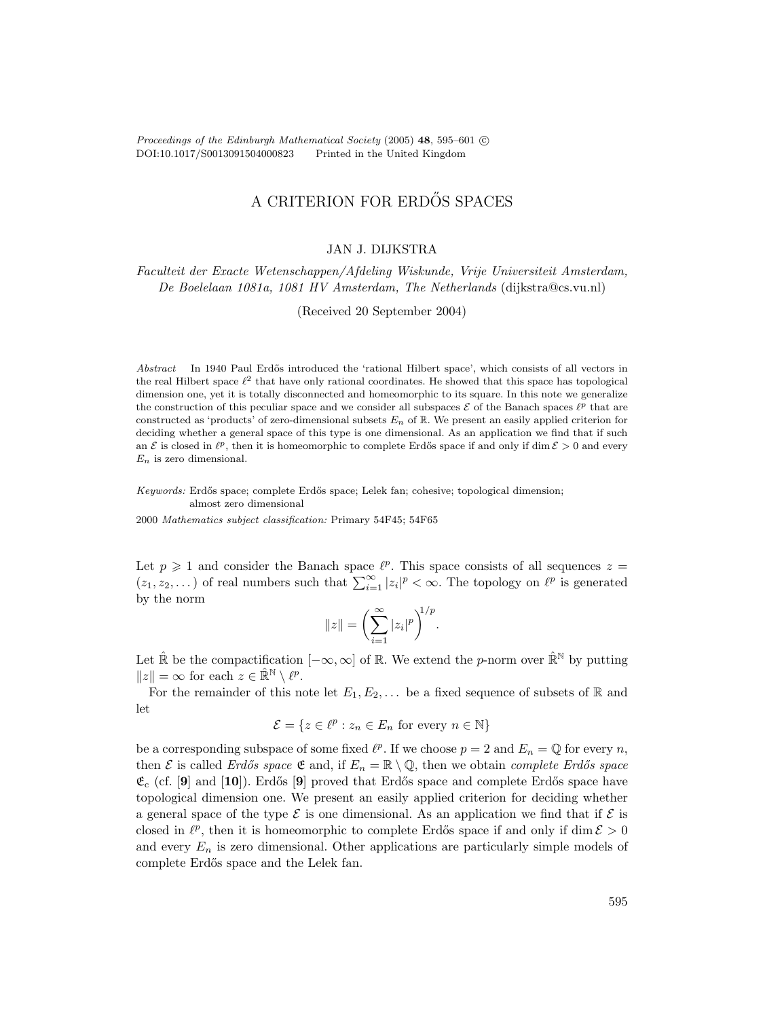Proceedings of the Edinburgh Mathematical Society (2005) **48**, 595–601 ©<br>DOI:10.1017/S0013091504000823 Printed in the United Kingdom DOI:10.1017/S0013091504000823

## A CRITERION FOR ERDŐS SPACES

### JAN J. DIJKSTRA

Faculteit der Exacte Wetenschappen/Afdeling Wiskunde, Vrije Universiteit Amsterdam, De Boelelaan 1081a, 1081 HV Amsterdam, The Netherlands (dijkstra@cs.vu.nl)

(Received 20 September 2004)

Abstract In 1940 Paul Erdős introduced the 'rational Hilbert space', which consists of all vectors in the real Hilbert space  $\ell^2$  that have only rational coordinates. He showed that this space has topological dimension one, yet it is totally disconnected and homeomorphic to its square. In this note we generalize the construction of this peculiar space and we consider all subspaces  $\mathcal E$  of the Banach spaces  $\ell^p$  that are constructed as 'products' of zero-dimensional subsets  $E_n$  of  $\mathbb{R}$ . We present an easily applied criterion for deciding whether a general space of this type is one dimensional. As an application we find that if such an E is closed in  $\ell^p$ , then it is homeomorphic to complete Erdős space if and only if dim  $\mathcal{E} > 0$  and every  $E_n$  is zero dimensional.

Keywords: Erd˝os space; complete Erd˝os space; Lelek fan; cohesive; topological dimension; almost zero dimensional

2000 Mathematics subject classification: Primary 54F45; 54F65

Let  $p \geq 1$  and consider the Banach space  $\ell^p$ . This space consists of all sequences  $z =$  $(z_1, z_2,...)$  of real numbers such that  $\sum_{i=1}^{\infty} |z_i|^p < \infty$ . The topology on  $\ell^p$  is generated by the norm

$$
||z|| = \left(\sum_{i=1}^{\infty} |z_i|^p\right)^{1/p}.
$$

Let  $\hat{\mathbb{R}}$  be the compactification  $[-\infty,\infty]$  of  $\mathbb{R}$ . We extend the *p*-norm over  $\hat{\mathbb{R}}^{\mathbb{N}}$  by putting  $||z|| = \infty$  for each  $z \in \hat{\mathbb{R}}^{\mathbb{N}} \setminus \ell^p$ .

For the remainder of this note let  $E_1, E_2, \ldots$  be a fixed sequence of subsets of R and let

$$
\mathcal{E} = \{ z \in \ell^p : z_n \in E_n \text{ for every } n \in \mathbb{N} \}
$$

be a corresponding subspace of some fixed  $\ell^p$ . If we choose  $p = 2$  and  $E_n = \mathbb{Q}$  for every n, then E is called Erdős space  $\mathfrak{E}$  and, if  $E_n = \mathbb{R} \setminus \mathbb{Q}$ , then we obtain complete Erdős space  $\mathfrak{E}_{\rm c}$  (cf. [9] and [10]). Erdős [9] proved that Erdős space and complete Erdős space have topological dimension one. We present an easily applied criterion for deciding whether a general space of the type  $\mathcal E$  is one dimensional. As an application we find that if  $\mathcal E$  is closed in  $\ell^p$ , then it is homeomorphic to complete Erdős space if and only if dim  $\mathcal{E} > 0$ and every  $E_n$  is zero dimensional. Other applications are particularly simple models of complete Erdős space and the Lelek fan.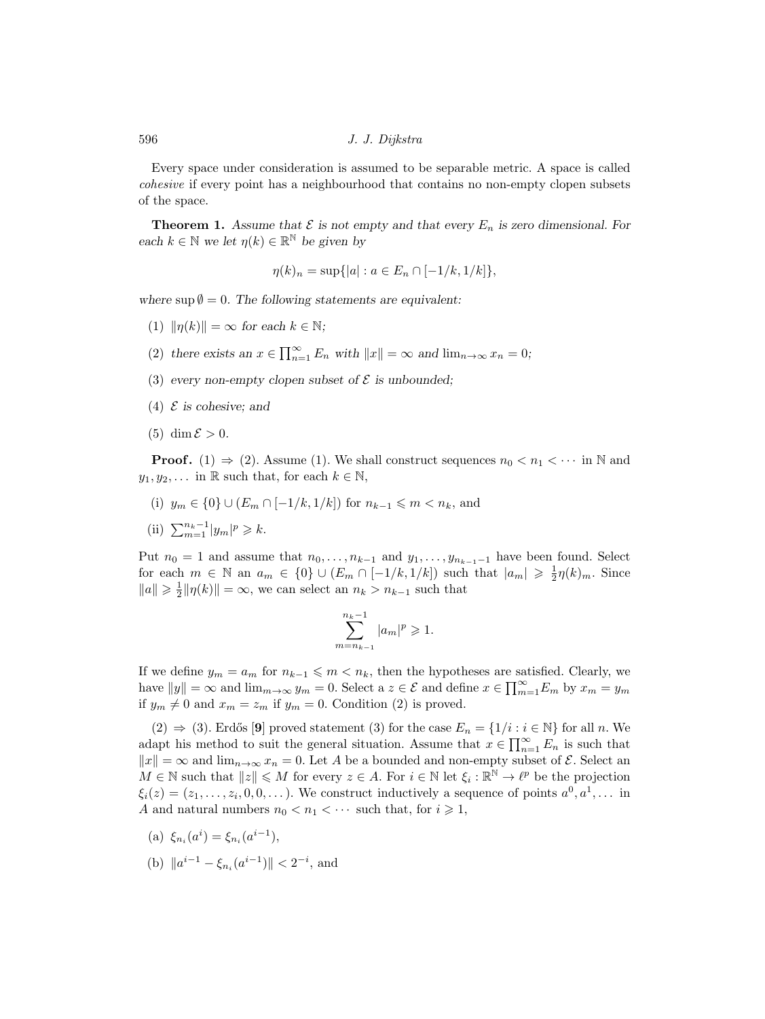596 J. J. Dijkstra

Every space under consideration is assumed to be separable metric. A space is called cohesive if every point has a neighbourhood that contains no non-empty clopen subsets of the space.

**Theorem 1.** Assume that  $\mathcal E$  is not empty and that every  $E_n$  is zero dimensional. For *each*  $k \in \mathbb{N}$  *we let*  $\eta(k) \in \mathbb{R}^{\mathbb{N}}$  *be given by* 

$$
\eta(k)_n = \sup\{|a| : a \in E_n \cap [-1/k, 1/k]\},\
$$

where  $\sup \emptyset = 0$ . The following statements are equivalent:

- $(1)$   $\|\eta(k)\| = \infty$  for each  $k \in \mathbb{N}$ ;
- (2) there exists an  $x \in \prod_{n=1}^{\infty} E_n$  with  $||x|| = \infty$  and  $\lim_{n \to \infty} x_n = 0$ ;
- (3) every non-empty clopen subset of  $\mathcal E$  is unbounded;
- (4) E *is cohesive; and*
- $(5)$  dim  $\mathcal{E} > 0$ .

**Proof.** (1)  $\Rightarrow$  (2). Assume (1). We shall construct sequences  $n_0 < n_1 < \cdots$  in N and  $y_1, y_2, \ldots$  in R such that, for each  $k \in \mathbb{N}$ ,

- (i)  $y_m \in \{0\} \cup (E_m \cap [-1/k, 1/k])$  for  $n_{k-1} \leq m < n_k$ , and
- (ii)  $\sum_{m=1}^{n_k-1} |y_m|^p \geq k$ .

Put  $n_0 = 1$  and assume that  $n_0, \ldots, n_{k-1}$  and  $y_1, \ldots, y_{n_{k-1}-1}$  have been found. Select for each  $m \in \mathbb{N}$  an  $a_m \in \{0\} \cup (E_m \cap [-1/k, 1/k])$  such that  $|a_m| \geq \frac{1}{2}\eta(k)_m$ . Since  $||a|| \ge \frac{1}{2} ||\eta(k)|| = \infty$ , we can select an  $n_k > n_{k-1}$  such that

$$
\sum_{m=n_{k-1}}^{n_k-1} |a_m|^p \geq 1.
$$

If we define  $y_m = a_m$  for  $n_{k-1} \leq m < n_k$ , then the hypotheses are satisfied. Clearly, we have  $||y|| = \infty$  and  $\lim_{m \to \infty} y_m = 0$ . Select a  $z \in \mathcal{E}$  and define  $x \in \prod_{m=1}^{\infty} E_m$  by  $x_m = y_m$ if  $y_m \neq 0$  and  $x_m = z_m$  if  $y_m = 0$ . Condition (2) is proved.

(2)  $\Rightarrow$  (3). Erdős [9] proved statement (3) for the case  $E_n = \{1/i : i \in \mathbb{N}\}\)$  for all n. We adapt his method to suit the general situation. Assume that  $x \in \prod_{n=1}^{\infty} E_n$  is such that  $||x|| = \infty$  and  $\lim_{n\to\infty} x_n = 0$ . Let A be a bounded and non-empty subset of E. Select an  $M \in \mathbb{N}$  such that  $||z|| \leq M$  for every  $z \in A$ . For  $i \in \mathbb{N}$  let  $\xi_i : \mathbb{R}^{\mathbb{N}} \to \ell^p$  be the projection  $\xi_i(z)=(z_1,\ldots,z_i, 0, 0,\ldots)$ . We construct inductively a sequence of points  $a^0, a^1,\ldots$  in A and natural numbers  $n_0 < n_1 < \cdots$  such that, for  $i \geq 1$ ,

- (a)  $\xi_{n_i}(a^i) = \xi_{n_i}(a^{i-1}),$
- (b)  $||a^{i-1} \xi_{n_i}(a^{i-1})|| < 2^{-i}$ , and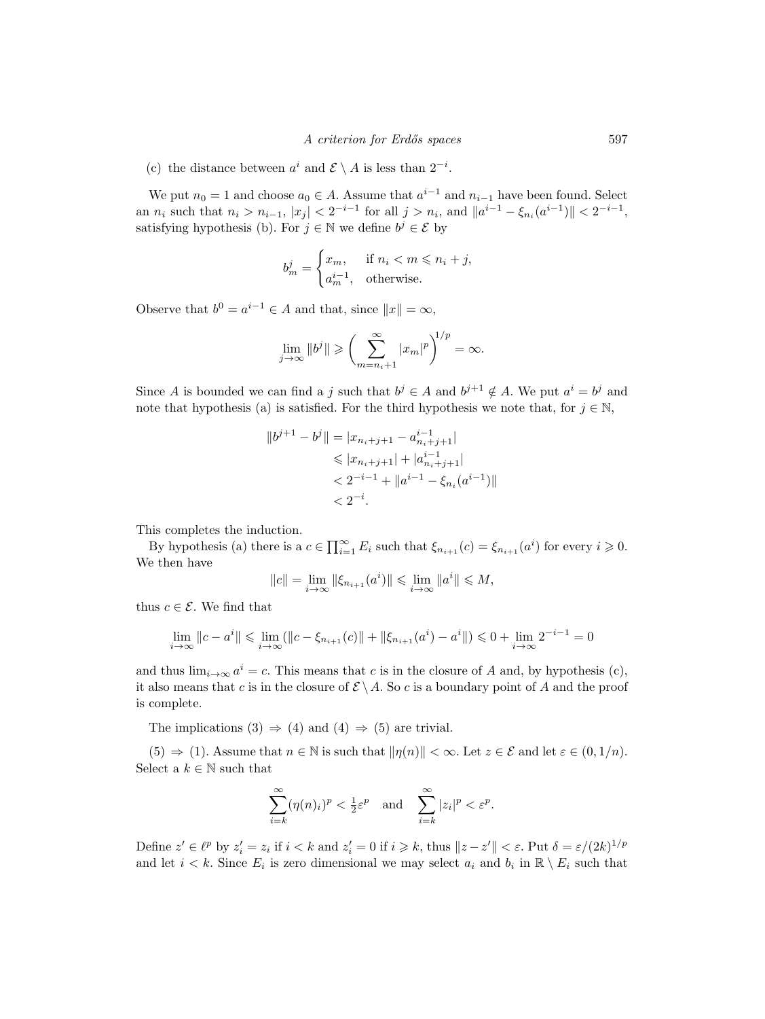(c) the distance between  $a^i$  and  $\mathcal{E} \setminus A$  is less than  $2^{-i}$ .

We put  $n_0 = 1$  and choose  $a_0 \in A$ . Assume that  $a^{i-1}$  and  $n_{i-1}$  have been found. Select an  $n_i$  such that  $n_i > n_{i-1}$ ,  $|x_j| < 2^{-i-1}$  for all  $j > n_i$ , and  $||a^{i-1} - \xi_{n_i}(a^{i-1})|| < 2^{-i-1}$ , satisfying hypothesis (b). For  $j \in \mathbb{N}$  we define  $b^j \in \mathcal{E}$  by

$$
b_m^j = \begin{cases} x_m, & \text{if } n_i < m \le n_i + j, \\ a_m^{i-1}, & \text{otherwise.} \end{cases}
$$

Observe that  $b^0 = a^{i-1} \in A$  and that, since  $||x|| = \infty$ ,

$$
\lim_{j \to \infty} ||b^j|| \geqslant \left(\sum_{m=n_i+1}^{\infty} |x_m|^p\right)^{1/p} = \infty.
$$

Since A is bounded we can find a j such that  $b^j \in A$  and  $b^{j+1} \notin A$ . We put  $a^i = b^j$  and note that hypothesis (a) is satisfied. For the third hypothesis we note that, for  $j \in \mathbb{N}$ ,

$$
||b^{j+1} - b^j|| = |x_{n_i+j+1} - a_{n_i+j+1}^{i-1}|
$$
  
\n
$$
\leq |x_{n_i+j+1}| + |a_{n_i+j+1}^{i-1}|
$$
  
\n
$$
< 2^{-i-1} + ||a^{i-1} - \xi_{n_i}(a^{i-1})||
$$
  
\n
$$
< 2^{-i}.
$$

This completes the induction.

By hypothesis (a) there is a  $c \in \prod_{i=1}^{\infty} E_i$  such that  $\xi_{n_{i+1}}(c) = \xi_{n_{i+1}}(a^i)$  for every  $i \geq 0$ . We then have

$$
||c|| = \lim_{i \to \infty} ||\xi_{n_{i+1}}(a^i)|| \le \lim_{i \to \infty} ||a^i|| \le M,
$$

thus  $c \in \mathcal{E}$ . We find that

$$
\lim_{i \to \infty} ||c - a^i|| \le \lim_{i \to \infty} (||c - \xi_{n_{i+1}}(c)|| + ||\xi_{n_{i+1}}(a^i) - a^i||) \le 0 + \lim_{i \to \infty} 2^{-i-1} = 0
$$

and thus  $\lim_{i\to\infty} a^i = c$ . This means that c is in the closure of A and, by hypothesis (c), it also means that c is in the closure of  $\mathcal{E} \setminus A$ . So c is a boundary point of A and the proof is complete.

The implications (3)  $\Rightarrow$  (4) and (4)  $\Rightarrow$  (5) are trivial.

 $(5) \Rightarrow (1)$ . Assume that  $n \in \mathbb{N}$  is such that  $\|\eta(n)\| < \infty$ . Let  $z \in \mathcal{E}$  and let  $\varepsilon \in (0, 1/n)$ . Select a  $k \in \mathbb{N}$  such that

$$
\sum_{i=k}^{\infty} (\eta(n)_i)^p < \frac{1}{2} \varepsilon^p \quad \text{and} \quad \sum_{i=k}^{\infty} |z_i|^p < \varepsilon^p.
$$

Define  $z' \in \ell^p$  by  $z'_i = z_i$  if  $i < k$  and  $z'_i = 0$  if  $i \geq k$ , thus  $||z - z'|| < \varepsilon$ . Put  $\delta = \varepsilon/(2k)^{1/p}$ and let  $i < k$ . Since  $E_i$  is zero dimensional we may select  $a_i$  and  $b_i$  in  $\mathbb{R} \setminus E_i$  such that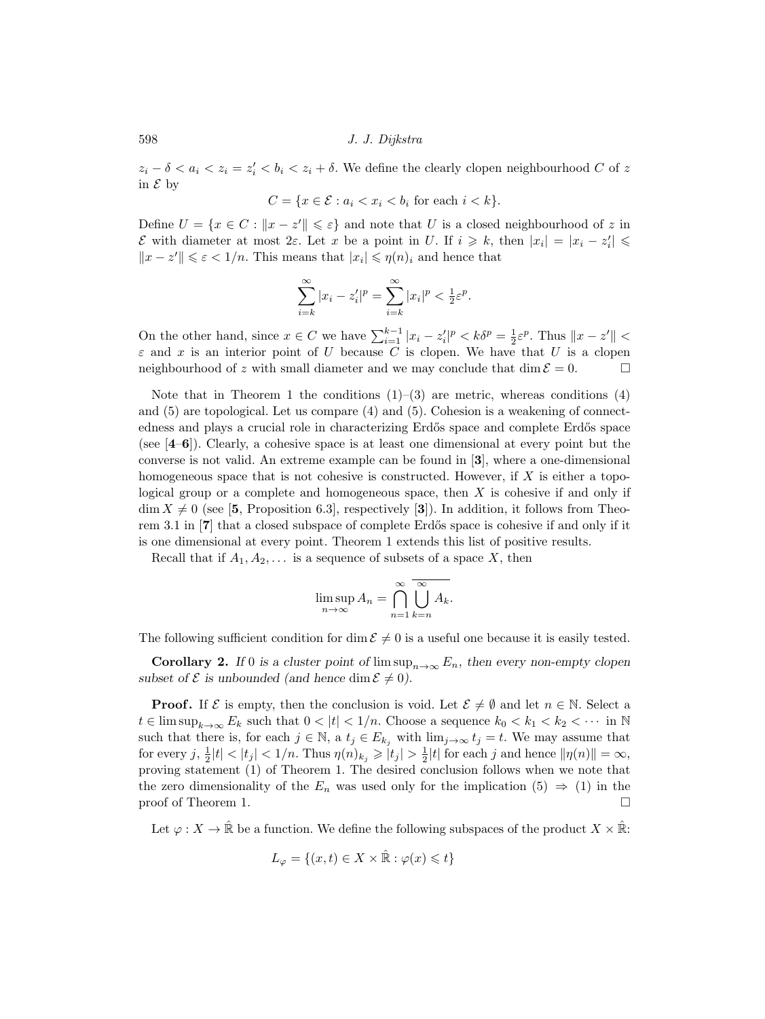598 J. J. Dijkstra

 $z_i - \delta < a_i < z_i = z'_i < b_i < z_i + \delta$ . We define the clearly clopen neighbourhood C of z in  $\mathcal E$  by

$$
C = \{ x \in \mathcal{E} : a_i < x_i < b_i \text{ for each } i < k \}.
$$

Define  $U = \{x \in C : ||x - z'|| \leqslant \varepsilon\}$  and note that U is a closed neighbourhood of z in *ε* with diameter at most 2*ε*. Let *x* be a point in *U*. If  $i \ge k$ , then  $|x_i| = |x_i - z'_i|$  ≤  $||x - z'|| \leq \varepsilon < 1/n$ . This means that  $|x_i| \leq \eta(n)_i$  and hence that

$$
\sum_{i=k}^{\infty} |x_i - z'_i|^p = \sum_{i=k}^{\infty} |x_i|^p < \frac{1}{2} \varepsilon^p.
$$

On the other hand, since  $x \in C$  we have  $\sum_{i=1}^{k-1} |x_i - z'_i|^p < k\delta^p = \frac{1}{2}\varepsilon^p$ . Thus  $||x - z'|| <$  $\varepsilon$  and x is an interior point of U because C is clopen. We have that U is a clopen neighbourhood of z with small diameter and we may conclude that dim  $\mathcal{E} = 0$ .

Note that in Theorem 1 the conditions  $(1)$ – $(3)$  are metric, whereas conditions  $(4)$ and (5) are topological. Let us compare (4) and (5). Cohesion is a weakening of connectedness and plays a crucial role in characterizing Erdős space and complete Erdős space (see [**4**–**6**]). Clearly, a cohesive space is at least one dimensional at every point but the converse is not valid. An extreme example can be found in [**3**], where a one-dimensional homogeneous space that is not cohesive is constructed. However, if  $X$  is either a topological group or a complete and homogeneous space, then  $X$  is cohesive if and only if  $\dim X \neq 0$  (see [5, Proposition 6.3], respectively [3]). In addition, it follows from Theorem 3.1 in [**7**] that a closed subspace of complete Erdős space is cohesive if and only if it is one dimensional at every point. Theorem 1 extends this list of positive results.

Recall that if  $A_1, A_2, \ldots$  is a sequence of subsets of a space X, then

$$
\limsup_{n \to \infty} A_n = \bigcap_{n=1}^{\infty} \bigcup_{k=n}^{\infty} A_k.
$$

The following sufficient condition for dim  $\mathcal{E} \neq 0$  is a useful one because it is easily tested.

**Corollary 2.** *If* 0 *is a cluster point of*  $\limsup_{n\to\infty} E_n$ , then every non-empty clopen *subset of*  $\mathcal{E}$  *is unbounded (and hence dim*  $\mathcal{E} \neq 0$ ).

**Proof.** If  $\mathcal{E}$  is empty, then the conclusion is void. Let  $\mathcal{E} \neq \emptyset$  and let  $n \in \mathbb{N}$ . Select a  $t \in \limsup_{k \to \infty} E_k$  such that  $0 < |t| < 1/n$ . Choose a sequence  $k_0 < k_1 < k_2 < \cdots$  in N such that there is, for each  $j \in \mathbb{N}$ , a  $t_j \in E_{k_j}$  with  $\lim_{j\to\infty} t_j = t$ . We may assume that for every  $j, \frac{1}{2}|t| < |t_j| < 1/n$ . Thus  $\eta(n)_{k_j} \geq |t_j| > \frac{1}{2}|t|$  for each j and hence  $\|\eta(n)\| = \infty$ , proving statement (1) of Theorem 1. The desired conclusion follows when we note that the zero dimensionality of the  $E_n$  was used only for the implication (5)  $\Rightarrow$  (1) in the proof of Theorem 1.

Let  $\varphi: X \to \mathbb{R}$  be a function. We define the following subspaces of the product  $X \times \mathbb{R}$ :

$$
L_{\varphi} = \{(x, t) \in X \times \hat{\mathbb{R}} : \varphi(x) \leq t\}
$$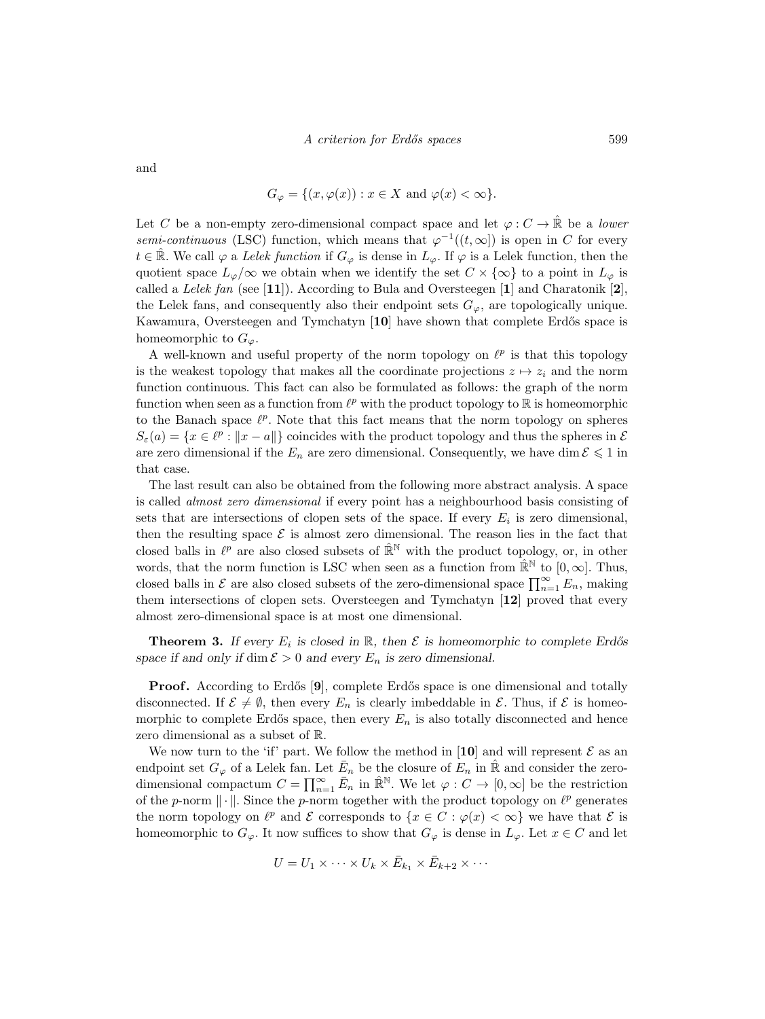and

$$
G_{\varphi} = \{ (x, \varphi(x)) : x \in X \text{ and } \varphi(x) < \infty \}.
$$

Let C be a non-empty zero-dimensional compact space and let  $\varphi: C \to \mathbb{R}$  be a lower semi-continuous (LSC) function, which means that  $\varphi^{-1}((t,\infty))$  is open in C for every  $t \in \mathbb{R}$ . We call  $\varphi$  a Lelek function if  $G_{\varphi}$  is dense in  $L_{\varphi}$ . If  $\varphi$  is a Lelek function, then the quotient space  $L_{\varphi}/\infty$  we obtain when we identify the set  $C \times \{\infty\}$  to a point in  $L_{\varphi}$  is called a Lelek fan (see [**11**]). According to Bula and Oversteegen [**1**] and Charatonik [**2**], the Lelek fans, and consequently also their endpoint sets  $G_{\varphi}$ , are topologically unique. Kawamura, Oversteegen and Tymchatyn [10] have shown that complete Erdős space is homeomorphic to  $G_{\varphi}$ .

A well-known and useful property of the norm topology on  $\ell^p$  is that this topology is the weakest topology that makes all the coordinate projections  $z \mapsto z_i$  and the norm function continuous. This fact can also be formulated as follows: the graph of the norm function when seen as a function from  $\ell^p$  with the product topology to  $\mathbb R$  is homeomorphic to the Banach space  $\ell^p$ . Note that this fact means that the norm topology on spheres  $S_{\varepsilon}(a) = \{x \in \ell^p : ||x - a||\}$  coincides with the product topology and thus the spheres in  $\mathcal{E}$ are zero dimensional if the  $E_n$  are zero dimensional. Consequently, we have dim  $\mathcal{E} \leq 1$  in that case.

The last result can also be obtained from the following more abstract analysis. A space is called almost zero dimensional if every point has a neighbourhood basis consisting of sets that are intersections of clopen sets of the space. If every  $E_i$  is zero dimensional, then the resulting space  $\mathcal E$  is almost zero dimensional. The reason lies in the fact that closed balls in  $\ell^p$  are also closed subsets of  $\mathbb{R}^N$  with the product topology, or, in other words, that the norm function is LSC when seen as a function from  $\mathbb{R}^N$  to  $[0,\infty]$ . Thus, closed balls in  $\mathcal E$  are also closed subsets of the zero-dimensional space  $\prod_{n=1}^{\infty} E_n$ , making them intersections of clopen sets. Oversteegen and Tymchatyn [**12**] proved that every almost zero-dimensional space is at most one dimensional.

**Theorem 3.** If every  $E_i$  is closed in R, then  $\mathcal E$  is homeomorphic to complete Erdős *space if and only if* dim  $\mathcal{E} > 0$  *and every*  $E_n$  *is zero dimensional.* 

**Proof.** According to Erdős [9], complete Erdős space is one dimensional and totally disconnected. If  $\mathcal{E} \neq \emptyset$ , then every  $E_n$  is clearly imbeddable in  $\mathcal{E}$ . Thus, if  $\mathcal{E}$  is homeomorphic to complete Erdős space, then every  $E_n$  is also totally disconnected and hence zero dimensional as a subset of R.

We now turn to the 'if' part. We follow the method in [10] and will represent  $\mathcal E$  as an endpoint set  $G_{\varphi}$  of a Lelek fan. Let  $\overline{E}_n$  be the closure of  $E_n$  in  $\hat{\mathbb{R}}$  and consider the zerodimensional compactum  $C = \prod_{n=1}^{\infty} \bar{E}_n$  in  $\hat{\mathbb{R}}^{\mathbb{N}}$ . We let  $\varphi : C \to [0, \infty]$  be the restriction of the p-norm  $\|\cdot\|$ . Since the p-norm together with the product topology on  $\ell^p$  generates the norm topology on  $\ell^p$  and E corresponds to  $\{x \in C : \varphi(x) < \infty\}$  we have that E is homeomorphic to  $G_{\varphi}$ . It now suffices to show that  $G_{\varphi}$  is dense in  $L_{\varphi}$ . Let  $x \in C$  and let

$$
U = U_1 \times \cdots \times U_k \times \bar{E}_{k_1} \times \bar{E}_{k+2} \times \cdots
$$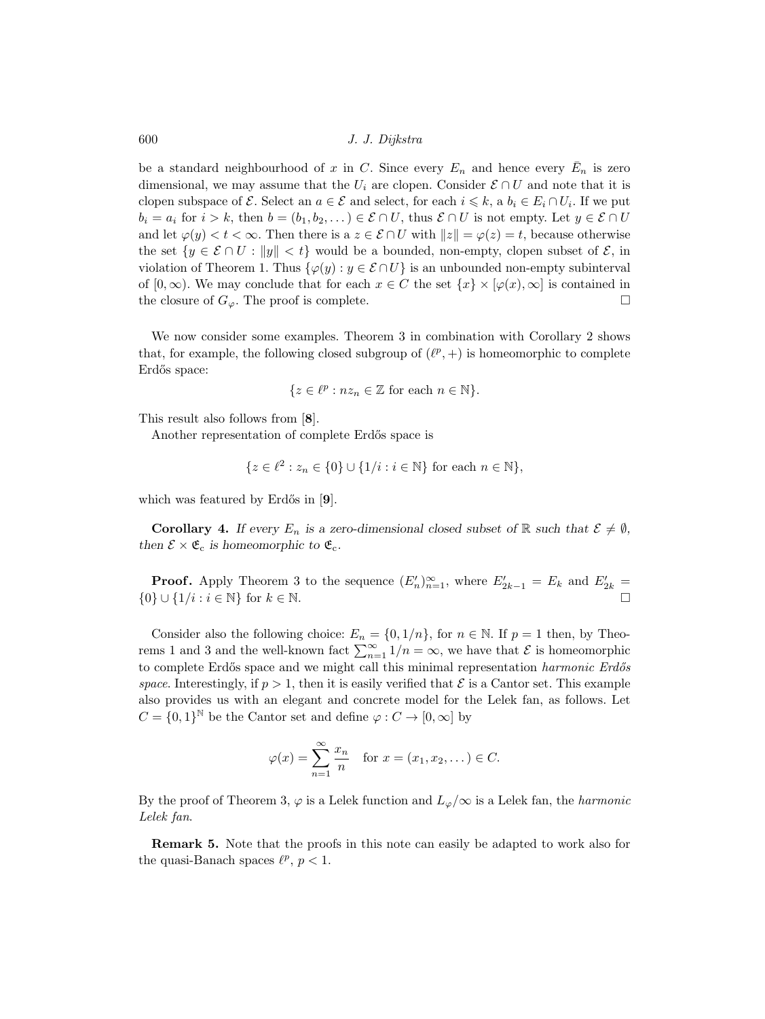600 J. J. Dijkstra

be a standard neighbourhood of x in C. Since every  $E_n$  and hence every  $\bar{E}_n$  is zero dimensional, we may assume that the  $U_i$  are clopen. Consider  $\mathcal{E} \cap U$  and note that it is clopen subspace of  $\mathcal{E}$ . Select an  $a \in \mathcal{E}$  and select, for each  $i \leq k$ , a  $b_i \in E_i \cap U_i$ . If we put  $b_i = a_i$  for  $i > k$ , then  $b = (b_1, b_2, \dots) \in \mathcal{E} \cap U$ , thus  $\mathcal{E} \cap U$  is not empty. Let  $y \in \mathcal{E} \cap U$ and let  $\varphi(y) < t < \infty$ . Then there is a  $z \in \mathcal{E} \cap U$  with  $||z|| = \varphi(z) = t$ , because otherwise the set  $\{y \in \mathcal{E} \cap U : ||y|| < t\}$  would be a bounded, non-empty, clopen subset of  $\mathcal{E}$ , in violation of Theorem 1. Thus  $\{\varphi(y): y \in \mathcal{E} \cap U\}$  is an unbounded non-empty subinterval of  $[0,\infty)$ . We may conclude that for each  $x \in C$  the set  $\{x\} \times [\varphi(x),\infty]$  is contained in the closure of  $G_{\varphi}$ . The proof is complete.

We now consider some examples. Theorem 3 in combination with Corollary 2 shows that, for example, the following closed subgroup of  $(\ell^p, +)$  is homeomorphic to complete Erdős space:

$$
\{z \in \ell^p : nz_n \in \mathbb{Z} \text{ for each } n \in \mathbb{N}\}.
$$

This result also follows from [**8**].

Another representation of complete Erdős space is

$$
\{z \in \ell^2 : z_n \in \{0\} \cup \{1/i : i \in \mathbb{N}\} \text{ for each } n \in \mathbb{N}\},\
$$

which was featured by Erdős in [9].

**Corollary 4.** *If every*  $E_n$  *is a zero-dimensional closed subset of* R *such that*  $\mathcal{E} \neq \emptyset$ *, then*  $\mathcal{E} \times \mathfrak{E}_c$  *is homeomorphic to*  $\mathfrak{E}_c$ *.* 

**Proof.** Apply Theorem 3 to the sequence  $(E'_n)_{n=1}^{\infty}$ , where  $E'_{2k-1} = E_k$  and  $E'_{2k} =$  $\{0\} \cup \{1/i : i \in \mathbb{N}\}\$ for  $k \in \mathbb{N}$ .

Consider also the following choice:  $E_n = \{0, 1/n\}$ , for  $n \in \mathbb{N}$ . If  $p = 1$  then, by Theorems 1 and 3 and the well-known fact  $\sum_{n=1}^{\infty} 1/n = \infty$ , we have that  $\mathcal{E}$  is homeomorphic to complete Erdős space and we might call this minimal representation harmonic Erdős space. Interestingly, if  $p > 1$ , then it is easily verified that  $\mathcal E$  is a Cantor set. This example also provides us with an elegant and concrete model for the Lelek fan, as follows. Let  $C = \{0,1\}^{\mathbb{N}}$  be the Cantor set and define  $\varphi : C \to [0,\infty]$  by

$$
\varphi(x) = \sum_{n=1}^{\infty} \frac{x_n}{n} \quad \text{for } x = (x_1, x_2, \dots) \in C.
$$

By the proof of Theorem 3,  $\varphi$  is a Lelek function and  $L_{\varphi}/\infty$  is a Lelek fan, the *harmonic* Lelek fan.

**Remark 5.** Note that the proofs in this note can easily be adapted to work also for the quasi-Banach spaces  $\ell^p$ ,  $p < 1$ .